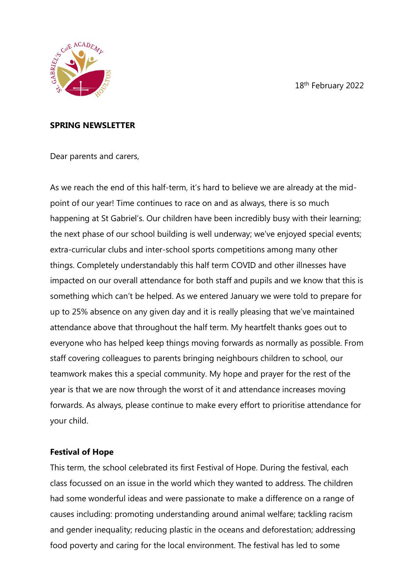18th February 2022



#### **SPRING NEWSLETTER**

Dear parents and carers,

As we reach the end of this half-term, it's hard to believe we are already at the midpoint of our year! Time continues to race on and as always, there is so much happening at St Gabriel's. Our children have been incredibly busy with their learning; the next phase of our school building is well underway; we've enjoyed special events; extra-curricular clubs and inter-school sports competitions among many other things. Completely understandably this half term COVID and other illnesses have impacted on our overall attendance for both staff and pupils and we know that this is something which can't be helped. As we entered January we were told to prepare for up to 25% absence on any given day and it is really pleasing that we've maintained attendance above that throughout the half term. My heartfelt thanks goes out to everyone who has helped keep things moving forwards as normally as possible. From staff covering colleagues to parents bringing neighbours children to school, our teamwork makes this a special community. My hope and prayer for the rest of the year is that we are now through the worst of it and attendance increases moving forwards. As always, please continue to make every effort to prioritise attendance for your child.

#### **Festival of Hope**

This term, the school celebrated its first Festival of Hope. During the festival, each class focussed on an issue in the world which they wanted to address. The children had some wonderful ideas and were passionate to make a difference on a range of causes including: promoting understanding around animal welfare; tackling racism and gender inequality; reducing plastic in the oceans and deforestation; addressing food poverty and caring for the local environment. The festival has led to some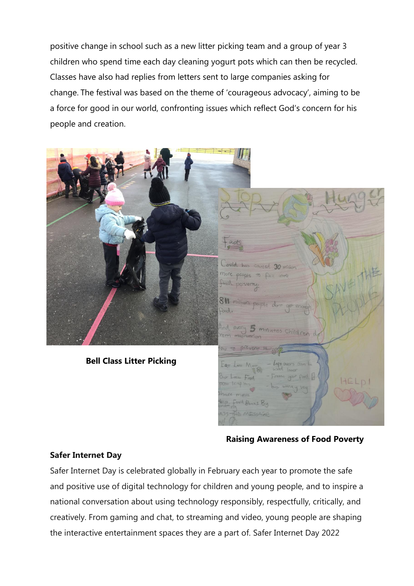positive change in school such as a new litter picking team and a group of year 3 children who spend time each day cleaning yogurt pots which can then be recycled. Classes have also had replies from letters sent to large companies asking for change. The festival was based on the theme of 'courageous advocacy', aiming to be a force for good in our world, confronting issues which reflect God's concern for his people and creation.



#### **Raising Awareness of Food Poverty**

#### **Safer Internet Day**

Safer Internet Day is celebrated globally in February each year to promote the safe and positive use of digital technology for children and young people, and to inspire a national conversation about using technology responsibly, respectfully, critically, and creatively. From gaming and chat, to streaming and video, young people are shaping the interactive entertainment spaces they are a part of. Safer Internet Day 2022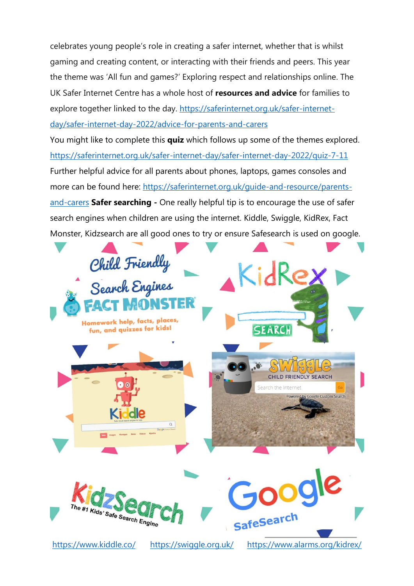celebrates young people's role in creating a safer internet, whether that is whilst gaming and creating content, or interacting with their friends and peers. This year the theme was 'All fun and games?' Exploring respect and relationships online. The UK Safer Internet Centre has a whole host of **resources and advice** for families to explore together linked to the day. [https://saferinternet.org.uk/safer-internet](https://saferinternet.org.uk/safer-internet-day/safer-internet-day-2022/advice-for-parents-and-carers)[day/safer-internet-day-2022/advice-for-parents-and-carers](https://saferinternet.org.uk/safer-internet-day/safer-internet-day-2022/advice-for-parents-and-carers)

You might like to complete this **quiz** which follows up some of the themes explored. <https://saferinternet.org.uk/safer-internet-day/safer-internet-day-2022/quiz-7-11> Further helpful advice for all parents about phones, laptops, games consoles and more can be found here: [https://saferinternet.org.uk/guide-and-resource/parents](https://saferinternet.org.uk/guide-and-resource/parents-and-carers)[and-carers](https://saferinternet.org.uk/guide-and-resource/parents-and-carers) **Safer searching -** One really helpful tip is to encourage the use of safer search engines when children are using the internet. Kiddle, Swiggle, KidRex, Fact Monster, Kidzsearch are all good ones to try or ensure Safesearch is used on google.



<https://www.kiddle.co/> <https://swiggle.org.uk/><https://www.alarms.org/kidrex/>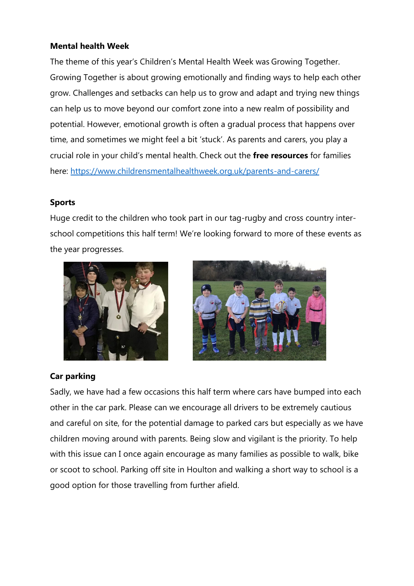# **Mental health Week**

The theme of this year's Children's Mental Health Week was Growing Together. Growing Together is about growing emotionally and finding ways to help each other grow. Challenges and setbacks can help us to grow and adapt and trying new things can help us to move beyond our comfort zone into a new realm of possibility and potential. However, emotional growth is often a gradual process that happens over time, and sometimes we might feel a bit 'stuck'. As parents and carers, you play a crucial role in your child's mental health. Check out the **free resources** for families here:<https://www.childrensmentalhealthweek.org.uk/parents-and-carers/>

### **Sports**

Huge credit to the children who took part in our tag-rugby and cross country interschool competitions this half term! We're looking forward to more of these events as the year progresses.





### **Car parking**

Sadly, we have had a few occasions this half term where cars have bumped into each other in the car park. Please can we encourage all drivers to be extremely cautious and careful on site, for the potential damage to parked cars but especially as we have children moving around with parents. Being slow and vigilant is the priority. To help with this issue can I once again encourage as many families as possible to walk, bike or scoot to school. Parking off site in Houlton and walking a short way to school is a good option for those travelling from further afield.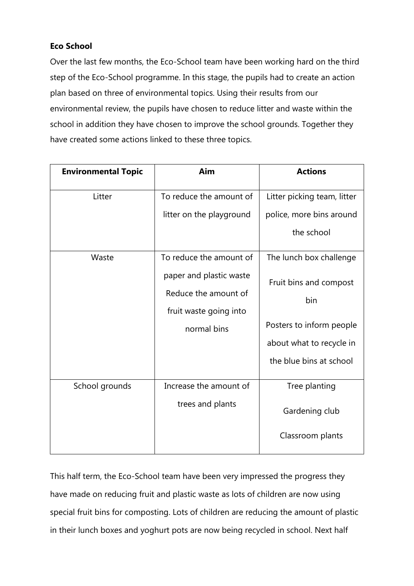# **Eco School**

Over the last few months, the Eco-School team have been working hard on the third step of the Eco-School programme. In this stage, the pupils had to create an action plan based on three of environmental topics. Using their results from our environmental review, the pupils have chosen to reduce litter and waste within the school in addition they have chosen to improve the school grounds. Together they have created some actions linked to these three topics.

| <b>Environmental Topic</b> | Aim                                                                                      | <b>Actions</b>                                                                                                   |
|----------------------------|------------------------------------------------------------------------------------------|------------------------------------------------------------------------------------------------------------------|
| Litter                     | To reduce the amount of                                                                  | Litter picking team, litter                                                                                      |
|                            | litter on the playground                                                                 | police, more bins around                                                                                         |
|                            |                                                                                          | the school                                                                                                       |
| Waste                      | To reduce the amount of                                                                  | The lunch box challenge                                                                                          |
|                            | paper and plastic waste<br>Reduce the amount of<br>fruit waste going into<br>normal bins | Fruit bins and compost<br>bin<br>Posters to inform people<br>about what to recycle in<br>the blue bins at school |
| School grounds             | Increase the amount of<br>trees and plants                                               | Tree planting<br>Gardening club<br>Classroom plants                                                              |

This half term, the Eco-School team have been very impressed the progress they have made on reducing fruit and plastic waste as lots of children are now using special fruit bins for composting. Lots of children are reducing the amount of plastic in their lunch boxes and yoghurt pots are now being recycled in school. Next half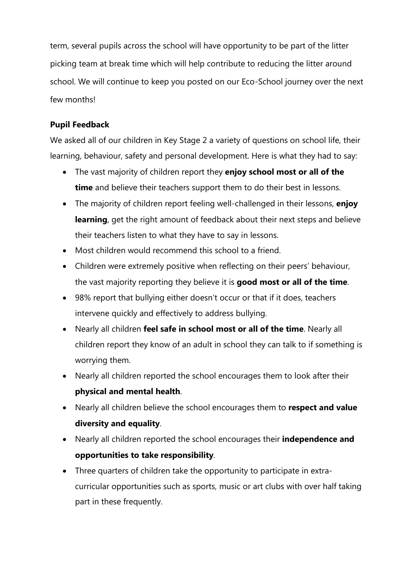term, several pupils across the school will have opportunity to be part of the litter picking team at break time which will help contribute to reducing the litter around school. We will continue to keep you posted on our Eco-School journey over the next few months!

# **Pupil Feedback**

We asked all of our children in Key Stage 2 a variety of questions on school life, their learning, behaviour, safety and personal development. Here is what they had to say:

- The vast majority of children report they **enjoy school most or all of the time** and believe their teachers support them to do their best in lessons.
- The majority of children report feeling well-challenged in their lessons, **enjoy learning**, get the right amount of feedback about their next steps and believe their teachers listen to what they have to say in lessons.
- Most children would recommend this school to a friend.
- Children were extremely positive when reflecting on their peers' behaviour, the vast majority reporting they believe it is **good most or all of the time**.
- 98% report that bullying either doesn't occur or that if it does, teachers intervene quickly and effectively to address bullying.
- Nearly all children **feel safe in school most or all of the time**. Nearly all children report they know of an adult in school they can talk to if something is worrying them.
- Nearly all children reported the school encourages them to look after their **physical and mental health**.
- Nearly all children believe the school encourages them to **respect and value diversity and equality**.
- Nearly all children reported the school encourages their **independence and opportunities to take responsibility**.
- Three quarters of children take the opportunity to participate in extracurricular opportunities such as sports, music or art clubs with over half taking part in these frequently.